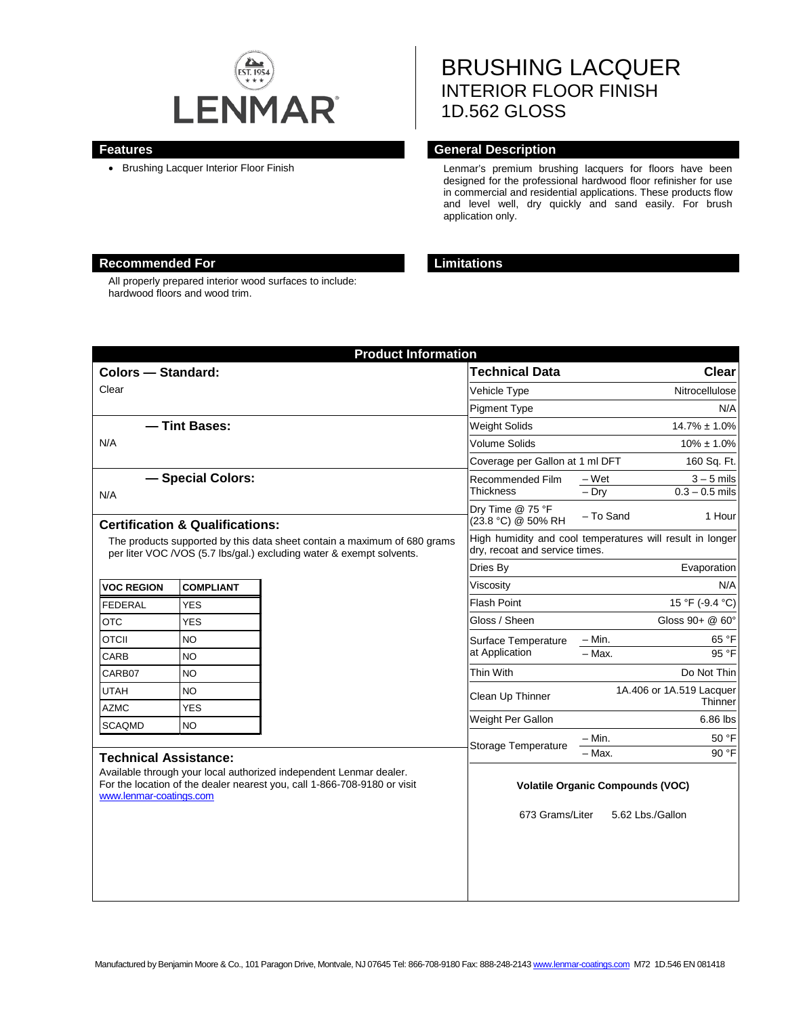

# BRUSHING LACQUER INTERIOR FLOOR FINISH 1D.562 GLOSS

### **Features General Description**

• Brushing Lacquer Interior Floor Finish **Lenmar's premium brushing lacquers for floors** have been designed for the professional hardwood floor refinisher for use in commercial and residential applications. These products flow and level well, dry quickly and sand easily. For brush application only.

# **Recommended For Limitations**

All properly prepared interior wood surfaces to include: hardwood floors and wood trim.

| <b>Product Information</b>                                                                                                                                                |                  |  |                                                                                             |                                                      |
|---------------------------------------------------------------------------------------------------------------------------------------------------------------------------|------------------|--|---------------------------------------------------------------------------------------------|------------------------------------------------------|
| <b>Colors - Standard:</b>                                                                                                                                                 |                  |  | <b>Technical Data</b>                                                                       | Clear                                                |
| Clear                                                                                                                                                                     |                  |  | <b>Vehicle Type</b>                                                                         | Nitrocellulose                                       |
|                                                                                                                                                                           |                  |  | <b>Pigment Type</b>                                                                         | N/A                                                  |
| - Tint Bases:                                                                                                                                                             |                  |  | Weight Solids                                                                               | $14.7\% \pm 1.0\%$                                   |
| N/A                                                                                                                                                                       |                  |  | <b>Volume Solids</b>                                                                        | $10\% \pm 1.0\%$                                     |
|                                                                                                                                                                           |                  |  | Coverage per Gallon at 1 ml DFT<br>160 Sq. Ft.                                              |                                                      |
| - Special Colors:<br>N/A                                                                                                                                                  |                  |  | Recommended Film<br><b>Thickness</b>                                                        | $3 - 5$ mils<br>– Wet<br>$-$ Dry<br>$0.3 - 0.5$ mils |
| <b>Certification &amp; Qualifications:</b>                                                                                                                                |                  |  | Dry Time @ 75 °F<br>(23.8 °C) @ 50% RH                                                      | - To Sand<br>1 Hour                                  |
| The products supported by this data sheet contain a maximum of 680 grams<br>per liter VOC /VOS (5.7 lbs/gal.) excluding water & exempt solvents.                          |                  |  | High humidity and cool temperatures will result in longer<br>dry, recoat and service times. |                                                      |
|                                                                                                                                                                           |                  |  | Dries By                                                                                    | Evaporation                                          |
| <b>VOC REGION</b>                                                                                                                                                         | <b>COMPLIANT</b> |  | Viscositv                                                                                   | N/A                                                  |
| <b>FEDERAL</b>                                                                                                                                                            | <b>YES</b>       |  | <b>Flash Point</b>                                                                          | 15 °F (-9.4 °C)                                      |
| <b>OTC</b>                                                                                                                                                                | <b>YES</b>       |  | Gloss / Sheen                                                                               | Gloss $90 + @60^\circ$                               |
| <b>OTCII</b>                                                                                                                                                              | <b>NO</b>        |  | Surface Temperature                                                                         | $- Min.$<br>65 °F                                    |
| CARB                                                                                                                                                                      | <b>NO</b>        |  | at Application                                                                              | 95 °F<br>$-$ Max.                                    |
| CARB07                                                                                                                                                                    | <b>NO</b>        |  | Thin With                                                                                   | Do Not Thin                                          |
| <b>UTAH</b>                                                                                                                                                               | NO.              |  | Clean Up Thinner                                                                            | 1A.406 or 1A.519 Lacquer<br>Thinner                  |
| <b>AZMC</b>                                                                                                                                                               | <b>YES</b>       |  |                                                                                             | 6.86 lbs                                             |
| <b>SCAQMD</b>                                                                                                                                                             | <b>NO</b>        |  | Weight Per Gallon                                                                           |                                                      |
| <b>Technical Assistance:</b>                                                                                                                                              |                  |  | Storage Temperature                                                                         | $-$ Min.<br>50 °F<br>90 °F<br>- Max.                 |
| Available through your local authorized independent Lenmar dealer.<br>For the location of the dealer nearest you, call 1-866-708-9180 or visit<br>www.lenmar-coatings.com |                  |  | <b>Volatile Organic Compounds (VOC)</b>                                                     |                                                      |
|                                                                                                                                                                           |                  |  | 673 Grams/Liter                                                                             | 5.62 Lbs./Gallon                                     |